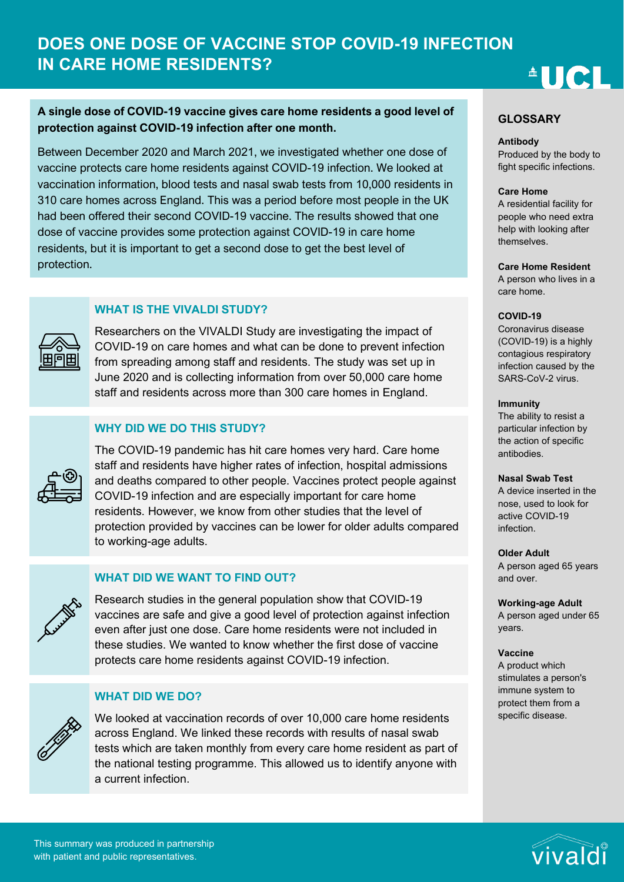# **DOES ONE DOSE OF VACCINE STOP COVID-19 INFECTION IN CARE HOME RESIDENTS?**

# **AUCI**

# **A single dose of COVID-19 vaccine gives care home residents a good level of protection against COVID-19 infection after one month.**

Between December 2020 and March 2021, we investigated whether one dose of vaccine protects care home residents against COVID-19 infection. We looked at vaccination information, blood tests and nasal swab tests from 10,000 residents in 310 care homes across England. This was a period before most people in the UK had been offered their second COVID-19 vaccine. The results showed that one dose of vaccine provides some protection against COVID-19 in care home residents, but it is important to get a second dose to get the best level of protection.

## **WHAT IS THE VIVALDI STUDY?**



Researchers on the VIVALDI Study are investigating the impact of COVID-19 on care homes and what can be done to prevent infection from spreading among staff and residents. The study was set up in June 2020 and is collecting information from over 50,000 care home staff and residents across more than 300 care homes in England.

## **WHY DID WE DO THIS STUDY?**



The COVID-19 pandemic has hit care homes very hard. Care home staff and residents have higher rates of infection, hospital admissions and deaths compared to other people. Vaccines protect people against COVID-19 infection and are especially important for care home residents. However, we know from other studies that the level of protection provided by vaccines can be lower for older adults compared to working-age adults.

# **WHAT DID WE WANT TO FIND OUT?**



Research studies in the general population show that COVID-19 vaccines are safe and give a good level of protection against infection even after just one dose. Care home residents were not included in these studies. We wanted to know whether the first dose of vaccine protects care home residents against COVID-19 infection.

## **WHAT DID WE DO?**



We looked at vaccination records of over 10,000 care home residents across England. We linked these records with results of nasal swab tests which are taken monthly from every care home resident as part of the national testing programme. This allowed us to identify anyone with a current infection.

#### **GLOSSARY**

#### **Antibody**

Produced by the body to fight specific infections.

#### **Care Home**

A residential facility for people who need extra help with looking after themselves.

#### **Care Home Resident**

A person who lives in a care home.

#### **COVID-19**

Coronavirus disease (COVID-19) is a highly contagious respiratory infection caused by the SARS-CoV-2 virus.

#### **Immunity**

The ability to resist a particular infection by the action of specific antibodies.

#### **Nasal Swab Test**

A device inserted in the nose, used to look for active COVID-19 infection.

#### **Older Adult**

A person aged 65 years and over.

#### **Working-age Adult**

A person aged under 65 years.

#### **Vaccine**

A product which stimulates a person's immune system to protect them from a specific disease.

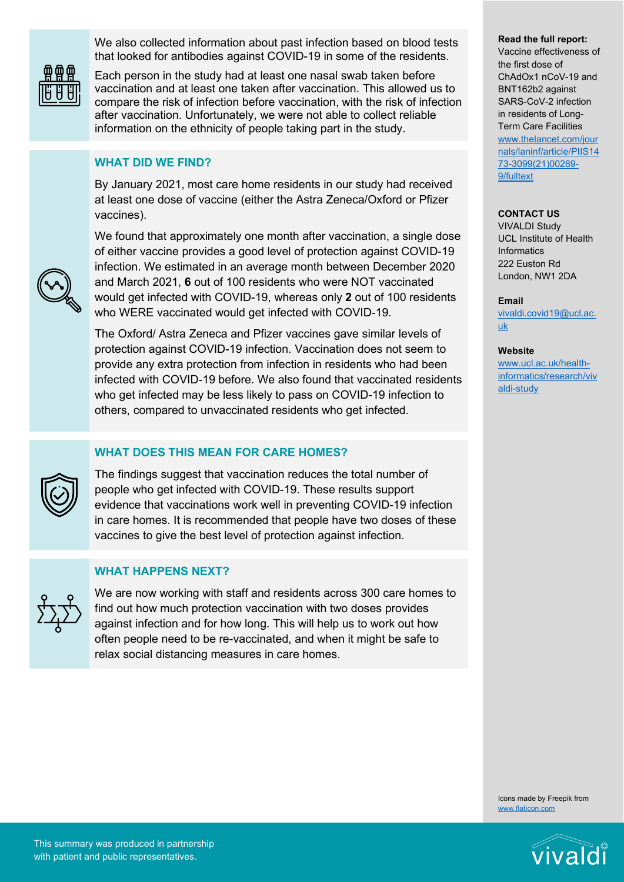We also collected information about past infection based on blood tests that looked for antibodies against COVID-19 in some of the residents.



Each person in the study had at least one nasal swab taken before vaccination and at least one taken after vaccination. This allowed us to compare the risk of infection before vaccination, with the risk of infection after vaccination. Unfortunately, we were not able to collect reliable information on the ethnicity of people taking part in the study.

## **WHAT DID WE FIND?**

By January 2021, most care home residents in our study had received at least one dose of vaccine (either the Astra Zeneca/Oxford or Pfizer vaccines).



We found that approximately one month after vaccination, a single dose of either vaccine provides a good level of protection against COVID-19 infection. We estimated in an average month between December 2020 and March 2021, **6** out of 100 residents who were NOT vaccinated would get infected with COVID-19, whereas only **2** out of 100 residents who WERE vaccinated would get infected with COVID-19.

The Oxford/ Astra Zeneca and Pfizer vaccines gave similar levels of protection against COVID-19 infection. Vaccination does not seem to provide any extra protection from infection in residents who had been infected with COVID-19 before. We also found that vaccinated residents who get infected may be less likely to pass on COVID-19 infection to others, compared to unvaccinated residents who get infected.

# **WHAT DOES THIS MEAN FOR CARE HOMES?**

The findings suggest that vaccination reduces the total number of people who get infected with COVID-19. These results support evidence that vaccinations work well in preventing COVID-19 infection in care homes. It is recommended that people have two doses of these vaccines to give the best level of protection against infection.

## **WHAT HAPPENS NEXT?**



We are now working with staff and residents across 300 care homes to find out how much protection vaccination with two doses provides against infection and for how long. This will help us to work out how often people need to be re-vaccinated, and when it might be safe to relax social distancing measures in care homes.

#### **Read the full report:**

Vaccine effectiveness of the first dose of ChAdOx1 nCoV-19 and BNT162b2 against SARS-CoV-2 infection in residents of Long-Term Care Facilities [www.thelancet.com/jour](http://www.thelancet.com/journals/laninf/article/PIIS1473-3099(21)00289-9/fulltext) [nals/laninf/article/PIIS14](http://www.thelancet.com/journals/laninf/article/PIIS1473-3099(21)00289-9/fulltext) [73-3099\(21\)00289-](http://www.thelancet.com/journals/laninf/article/PIIS1473-3099(21)00289-9/fulltext) [9/fulltext](http://www.thelancet.com/journals/laninf/article/PIIS1473-3099(21)00289-9/fulltext)

#### **CONTACT US**

VIVALDI Study UCL Institute of Health **Informatics** 222 Euston Rd London, NW1 2DA

#### **Email**

[vivaldi.covid19@ucl.ac.](mailto:vivaldi.covid19@ucl.ac.uk) [uk](mailto:vivaldi.covid19@ucl.ac.uk)

#### **Website**

[www.ucl.ac.uk/health](http://www.ucl.ac.uk/health-informatics/research/vivaldi-study)[informatics/research/viv](http://www.ucl.ac.uk/health-informatics/research/vivaldi-study) [aldi-study](http://www.ucl.ac.uk/health-informatics/research/vivaldi-study)